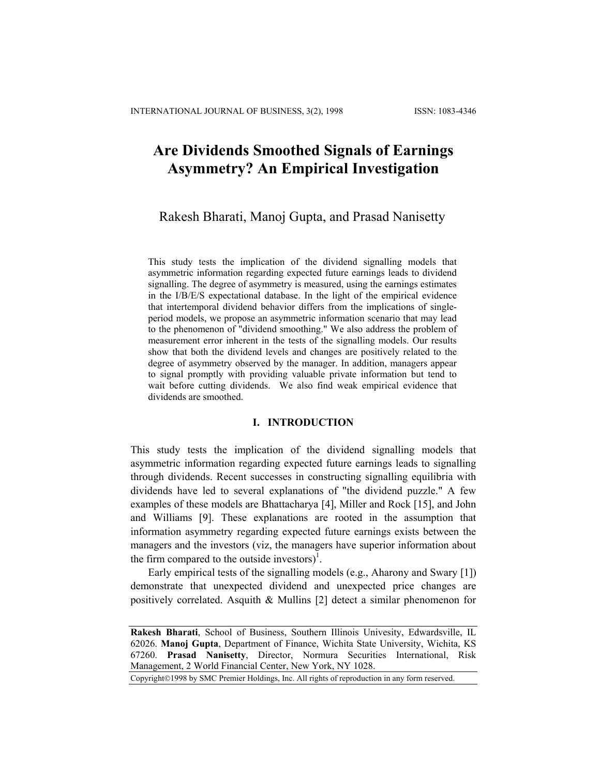# **Are Dividends Smoothed Signals of Earnings Asymmetry? An Empirical Investigation**

# Rakesh Bharati, Manoj Gupta, and Prasad Nanisetty

This study tests the implication of the dividend signalling models that asymmetric information regarding expected future earnings leads to dividend signalling. The degree of asymmetry is measured, using the earnings estimates in the I/B/E/S expectational database. In the light of the empirical evidence that intertemporal dividend behavior differs from the implications of singleperiod models, we propose an asymmetric information scenario that may lead to the phenomenon of "dividend smoothing." We also address the problem of measurement error inherent in the tests of the signalling models. Our results show that both the dividend levels and changes are positively related to the degree of asymmetry observed by the manager. In addition, managers appear to signal promptly with providing valuable private information but tend to wait before cutting dividends. We also find weak empirical evidence that dividends are smoothed.

# **I. INTRODUCTION**

This study tests the implication of the dividend signalling models that asymmetric information regarding expected future earnings leads to signalling through dividends. Recent successes in constructing signalling equilibria with dividends have led to several explanations of "the dividend puzzle." A few examples of these models are Bhattacharya [4], Miller and Rock [15], and John and Williams [9]. These explanations are rooted in the assumption that information asymmetry regarding expected future earnings exists between the managers and the investors (viz, the managers have superior information about the firm compared to the outside investors $)^{1}$ .

Early empirical tests of the signalling models (e.g., Aharony and Swary [1]) demonstrate that unexpected dividend and unexpected price changes are positively correlated. Asquith & Mullins [2] detect a similar phenomenon for

Copyright©1998 by SMC Premier Holdings, Inc. All rights of reproduction in any form reserved.

**Rakesh Bharati**, School of Business, Southern Illinois Univesity, Edwardsville, IL 62026. **Manoj Gupta**, Department of Finance, Wichita State University, Wichita, KS 67260. **Prasad Nanisetty**, Director, Normura Securities International, Risk Management, 2 World Financial Center, New York, NY 1028.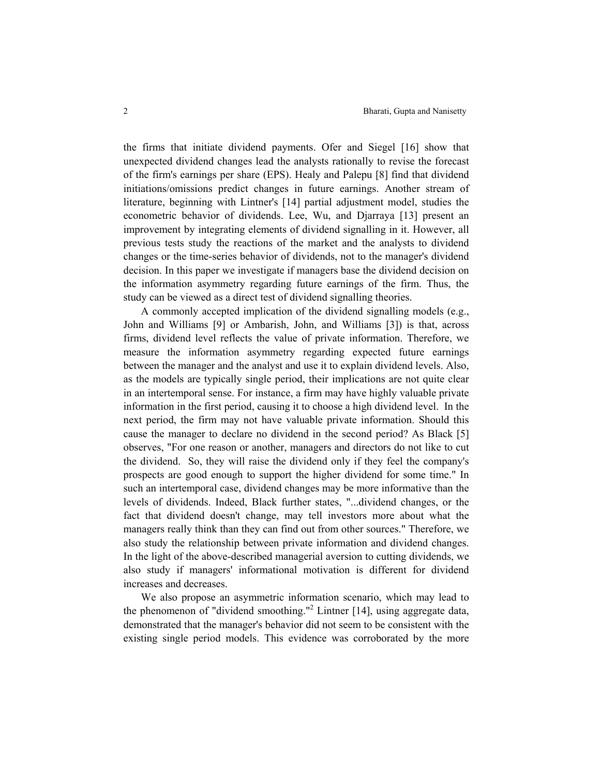the firms that initiate dividend payments. Ofer and Siegel [16] show that unexpected dividend changes lead the analysts rationally to revise the forecast of the firm's earnings per share (EPS). Healy and Palepu [8] find that dividend initiations/omissions predict changes in future earnings. Another stream of literature, beginning with Lintner's [14] partial adjustment model, studies the econometric behavior of dividends. Lee, Wu, and Djarraya [13] present an improvement by integrating elements of dividend signalling in it. However, all previous tests study the reactions of the market and the analysts to dividend changes or the time-series behavior of dividends, not to the manager's dividend decision. In this paper we investigate if managers base the dividend decision on the information asymmetry regarding future earnings of the firm. Thus, the study can be viewed as a direct test of dividend signalling theories.

A commonly accepted implication of the dividend signalling models (e.g., John and Williams [9] or Ambarish, John, and Williams [3]) is that, across firms, dividend level reflects the value of private information. Therefore, we measure the information asymmetry regarding expected future earnings between the manager and the analyst and use it to explain dividend levels. Also, as the models are typically single period, their implications are not quite clear in an intertemporal sense. For instance, a firm may have highly valuable private information in the first period, causing it to choose a high dividend level. In the next period, the firm may not have valuable private information. Should this cause the manager to declare no dividend in the second period? As Black [5] observes, "For one reason or another, managers and directors do not like to cut the dividend. So, they will raise the dividend only if they feel the company's prospects are good enough to support the higher dividend for some time." In such an intertemporal case, dividend changes may be more informative than the levels of dividends. Indeed, Black further states, "...dividend changes, or the fact that dividend doesn't change, may tell investors more about what the managers really think than they can find out from other sources." Therefore, we also study the relationship between private information and dividend changes. In the light of the above-described managerial aversion to cutting dividends, we also study if managers' informational motivation is different for dividend increases and decreases.

We also propose an asymmetric information scenario, which may lead to the phenomenon of "dividend smoothing."<sup>2</sup> Lintner [14], using aggregate data, demonstrated that the manager's behavior did not seem to be consistent with the existing single period models. This evidence was corroborated by the more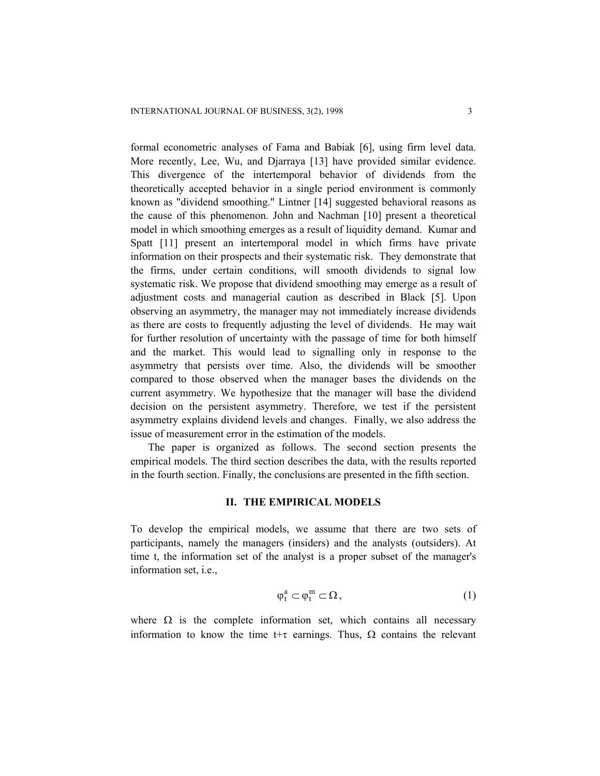formal econometric analyses of Fama and Babiak [6], using firm level data. More recently, Lee, Wu, and Djarraya [13] have provided similar evidence. This divergence of the intertemporal behavior of dividends from the theoretically accepted behavior in a single period environment is commonly known as "dividend smoothing." Lintner [14] suggested behavioral reasons as the cause of this phenomenon. John and Nachman [10] present a theoretical model in which smoothing emerges as a result of liquidity demand. Kumar and Spatt [11] present an intertemporal model in which firms have private information on their prospects and their systematic risk. They demonstrate that the firms, under certain conditions, will smooth dividends to signal low systematic risk. We propose that dividend smoothing may emerge as a result of adjustment costs and managerial caution as described in Black [5]. Upon observing an asymmetry, the manager may not immediately increase dividends as there are costs to frequently adjusting the level of dividends. He may wait for further resolution of uncertainty with the passage of time for both himself and the market. This would lead to signalling only in response to the asymmetry that persists over time. Also, the dividends will be smoother compared to those observed when the manager bases the dividends on the current asymmetry. We hypothesize that the manager will base the dividend decision on the persistent asymmetry. Therefore, we test if the persistent asymmetry explains dividend levels and changes. Finally, we also address the issue of measurement error in the estimation of the models.

The paper is organized as follows. The second section presents the empirical models. The third section describes the data, with the results reported in the fourth section. Finally, the conclusions are presented in the fifth section.

# **II. THE EMPIRICAL MODELS**

To develop the empirical models, we assume that there are two sets of participants, namely the managers (insiders) and the analysts (outsiders). At time t, the information set of the analyst is a proper subset of the manager's information set, i.e.,

$$
\phi_t^a \subset \phi_t^m \subset \Omega \,, \tag{1}
$$

where  $\Omega$  is the complete information set, which contains all necessary information to know the time t+τ earnings. Thus,  $\Omega$  contains the relevant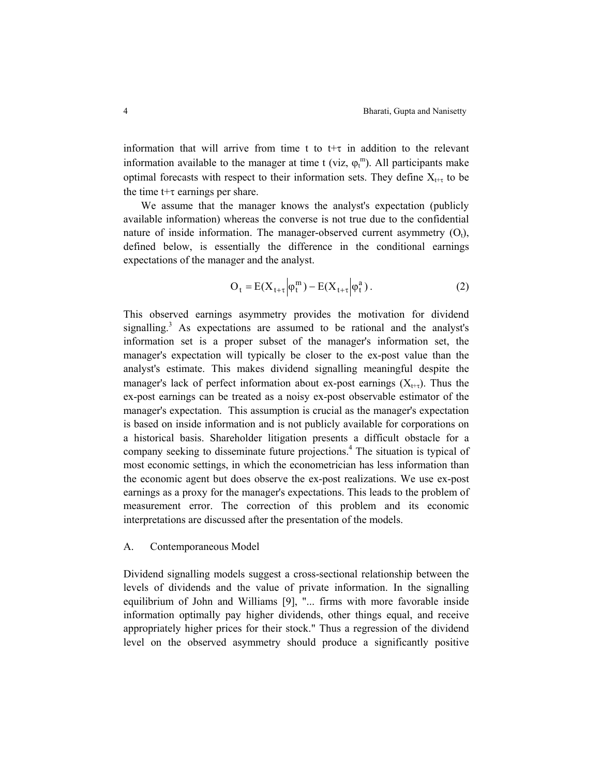information that will arrive from time t to  $t+\tau$  in addition to the relevant information available to the manager at time t (viz,  $\varphi_t^m$ ). All participants make optimal forecasts with respect to their information sets. They define  $X_{t+\tau}$  to be the time  $t+\tau$  earnings per share.

We assume that the manager knows the analyst's expectation (publicly available information) whereas the converse is not true due to the confidential nature of inside information. The manager-observed current asymmetry  $(O_t)$ , defined below, is essentially the difference in the conditional earnings expectations of the manager and the analyst.

$$
O_t = E(X_{t+\tau}|\varphi_t^m) - E(X_{t+\tau}|\varphi_t^a). \tag{2}
$$

This observed earnings asymmetry provides the motivation for dividend signalling.<sup>3</sup> As expectations are assumed to be rational and the analyst's information set is a proper subset of the manager's information set, the manager's expectation will typically be closer to the ex-post value than the analyst's estimate. This makes dividend signalling meaningful despite the manager's lack of perfect information about ex-post earnings  $(X_{t+\tau})$ . Thus the ex-post earnings can be treated as a noisy ex-post observable estimator of the manager's expectation. This assumption is crucial as the manager's expectation is based on inside information and is not publicly available for corporations on a historical basis. Shareholder litigation presents a difficult obstacle for a company seeking to disseminate future projections.<sup>4</sup> The situation is typical of most economic settings, in which the econometrician has less information than the economic agent but does observe the ex-post realizations. We use ex-post earnings as a proxy for the manager's expectations. This leads to the problem of measurement error. The correction of this problem and its economic interpretations are discussed after the presentation of the models.

# A. Contemporaneous Model

Dividend signalling models suggest a cross-sectional relationship between the levels of dividends and the value of private information. In the signalling equilibrium of John and Williams [9], "... firms with more favorable inside information optimally pay higher dividends, other things equal, and receive appropriately higher prices for their stock." Thus a regression of the dividend level on the observed asymmetry should produce a significantly positive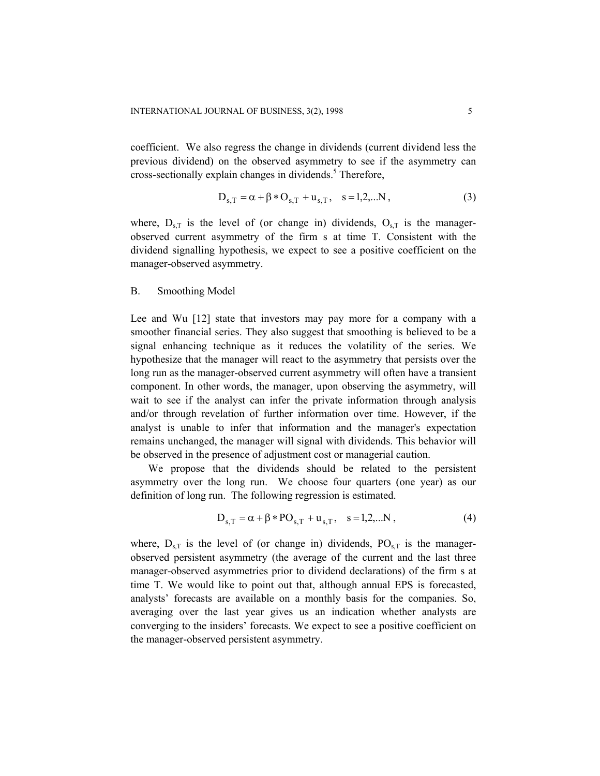coefficient. We also regress the change in dividends (current dividend less the previous dividend) on the observed asymmetry to see if the asymmetry can cross-sectionally explain changes in dividends.<sup>5</sup> Therefore,

$$
D_{s,T} = \alpha + \beta * O_{s,T} + u_{s,T}, \quad s = 1,2,...N,
$$
 (3)

where,  $D_{s,T}$  is the level of (or change in) dividends,  $O_{s,T}$  is the managerobserved current asymmetry of the firm s at time T. Consistent with the dividend signalling hypothesis, we expect to see a positive coefficient on the manager-observed asymmetry.

# B. Smoothing Model

Lee and Wu [12] state that investors may pay more for a company with a smoother financial series. They also suggest that smoothing is believed to be a signal enhancing technique as it reduces the volatility of the series. We hypothesize that the manager will react to the asymmetry that persists over the long run as the manager-observed current asymmetry will often have a transient component. In other words, the manager, upon observing the asymmetry, will wait to see if the analyst can infer the private information through analysis and/or through revelation of further information over time. However, if the analyst is unable to infer that information and the manager's expectation remains unchanged, the manager will signal with dividends. This behavior will be observed in the presence of adjustment cost or managerial caution.

We propose that the dividends should be related to the persistent asymmetry over the long run. We choose four quarters (one year) as our definition of long run. The following regression is estimated.

$$
D_{s,T} = \alpha + \beta * PO_{s,T} + u_{s,T}, \quad s = 1,2,...N,
$$
 (4)

where,  $D_{s,T}$  is the level of (or change in) dividends,  $PO_{s,T}$  is the managerobserved persistent asymmetry (the average of the current and the last three manager-observed asymmetries prior to dividend declarations) of the firm s at time T. We would like to point out that, although annual EPS is forecasted, analysts' forecasts are available on a monthly basis for the companies. So, averaging over the last year gives us an indication whether analysts are converging to the insiders' forecasts. We expect to see a positive coefficient on the manager-observed persistent asymmetry.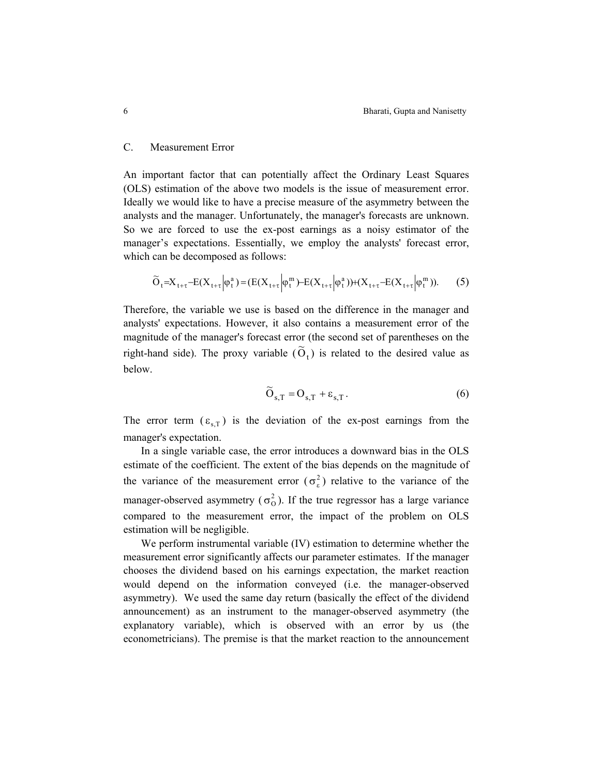## C. Measurement Error

An important factor that can potentially affect the Ordinary Least Squares (OLS) estimation of the above two models is the issue of measurement error. Ideally we would like to have a precise measure of the asymmetry between the analysts and the manager. Unfortunately, the manager's forecasts are unknown. So we are forced to use the ex-post earnings as a noisy estimator of the manager's expectations. Essentially, we employ the analysts' forecast error, which can be decomposed as follows:

$$
\widetilde{O}_t = X_{t+\tau} - E(X_{t+\tau}|\varphi_t^a) = (E(X_{t+\tau}|\varphi_t^m) - E(X_{t+\tau}|\varphi_t^a)) + (X_{t+\tau} - E(X_{t+\tau}|\varphi_t^m)).
$$
 (5)

Therefore, the variable we use is based on the difference in the manager and analysts' expectations. However, it also contains a measurement error of the magnitude of the manager's forecast error (the second set of parentheses on the right-hand side). The proxy variable  $(\widetilde{O}_t)$  is related to the desired value as below.

$$
\widetilde{O}_{s,T} = O_{s,T} + \varepsilon_{s,T}.
$$
 (6)

The error term  $(\varepsilon_{s,T})$  is the deviation of the ex-post earnings from the manager's expectation.

In a single variable case, the error introduces a downward bias in the OLS estimate of the coefficient. The extent of the bias depends on the magnitude of the variance of the measurement error  $(\sigma_{\varepsilon}^2)$  relative to the variance of the manager-observed asymmetry ( $\sigma_0^2$ ). If the true regressor has a large variance compared to the measurement error, the impact of the problem on OLS estimation will be negligible.

We perform instrumental variable (IV) estimation to determine whether the measurement error significantly affects our parameter estimates. If the manager chooses the dividend based on his earnings expectation, the market reaction would depend on the information conveyed (i.e. the manager-observed asymmetry). We used the same day return (basically the effect of the dividend announcement) as an instrument to the manager-observed asymmetry (the explanatory variable), which is observed with an error by us (the econometricians). The premise is that the market reaction to the announcement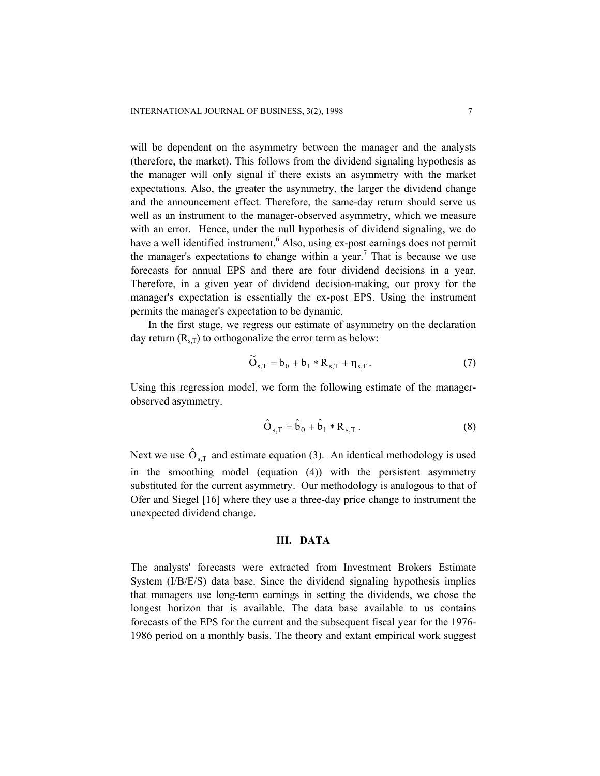will be dependent on the asymmetry between the manager and the analysts (therefore, the market). This follows from the dividend signaling hypothesis as the manager will only signal if there exists an asymmetry with the market expectations. Also, the greater the asymmetry, the larger the dividend change and the announcement effect. Therefore, the same-day return should serve us well as an instrument to the manager-observed asymmetry, which we measure with an error. Hence, under the null hypothesis of dividend signaling, we do have a well identified instrument.<sup>6</sup> Also, using ex-post earnings does not permit the manager's expectations to change within a year.<sup>7</sup> That is because we use forecasts for annual EPS and there are four dividend decisions in a year. Therefore, in a given year of dividend decision-making, our proxy for the manager's expectation is essentially the ex-post EPS. Using the instrument permits the manager's expectation to be dynamic.

In the first stage, we regress our estimate of asymmetry on the declaration day return  $(R<sub>s T</sub>)$  to orthogonalize the error term as below:

$$
\widetilde{O}_{s,T} = b_0 + b_1 * R_{s,T} + \eta_{s,T}.
$$
 (7)

Using this regression model, we form the following estimate of the managerobserved asymmetry.

$$
\hat{O}_{s,T} = \hat{b}_0 + \hat{b}_1 * R_{s,T} .
$$
 (8)

Next we use  $\hat{O}_{s,T}$  and estimate equation (3). An identical methodology is used in the smoothing model (equation (4)) with the persistent asymmetry substituted for the current asymmetry. Our methodology is analogous to that of Ofer and Siegel [16] where they use a three-day price change to instrument the unexpected dividend change.

# **III. DATA**

The analysts' forecasts were extracted from Investment Brokers Estimate System (I/B/E/S) data base. Since the dividend signaling hypothesis implies that managers use long-term earnings in setting the dividends, we chose the longest horizon that is available. The data base available to us contains forecasts of the EPS for the current and the subsequent fiscal year for the 1976- 1986 period on a monthly basis. The theory and extant empirical work suggest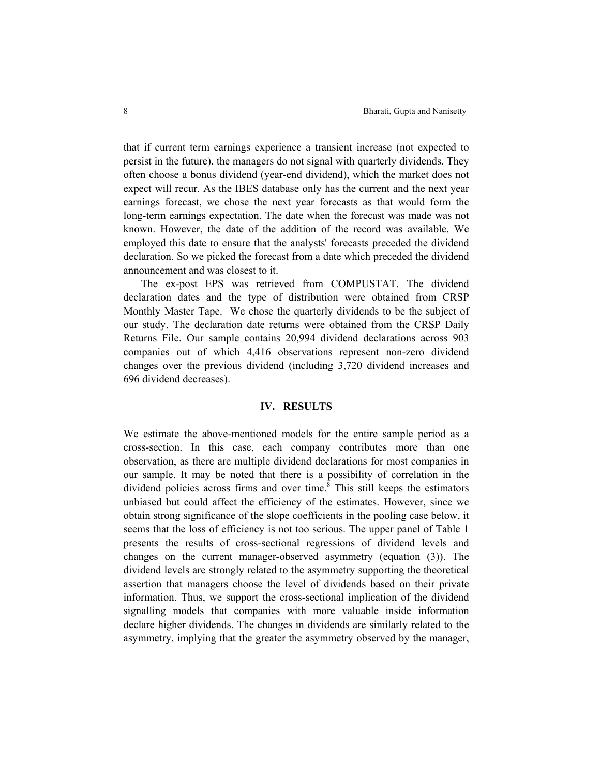that if current term earnings experience a transient increase (not expected to persist in the future), the managers do not signal with quarterly dividends. They often choose a bonus dividend (year-end dividend), which the market does not expect will recur. As the IBES database only has the current and the next year earnings forecast, we chose the next year forecasts as that would form the long-term earnings expectation. The date when the forecast was made was not known. However, the date of the addition of the record was available. We employed this date to ensure that the analysts' forecasts preceded the dividend declaration. So we picked the forecast from a date which preceded the dividend announcement and was closest to it.

The ex-post EPS was retrieved from COMPUSTAT. The dividend declaration dates and the type of distribution were obtained from CRSP Monthly Master Tape. We chose the quarterly dividends to be the subject of our study. The declaration date returns were obtained from the CRSP Daily Returns File. Our sample contains 20,994 dividend declarations across 903 companies out of which 4,416 observations represent non-zero dividend changes over the previous dividend (including 3,720 dividend increases and 696 dividend decreases).

## **IV. RESULTS**

We estimate the above-mentioned models for the entire sample period as a cross-section. In this case, each company contributes more than one observation, as there are multiple dividend declarations for most companies in our sample. It may be noted that there is a possibility of correlation in the dividend policies across firms and over time. $8$  This still keeps the estimators unbiased but could affect the efficiency of the estimates. However, since we obtain strong significance of the slope coefficients in the pooling case below, it seems that the loss of efficiency is not too serious. The upper panel of Table 1 presents the results of cross-sectional regressions of dividend levels and changes on the current manager-observed asymmetry (equation (3)). The dividend levels are strongly related to the asymmetry supporting the theoretical assertion that managers choose the level of dividends based on their private information. Thus, we support the cross-sectional implication of the dividend signalling models that companies with more valuable inside information declare higher dividends. The changes in dividends are similarly related to the asymmetry, implying that the greater the asymmetry observed by the manager,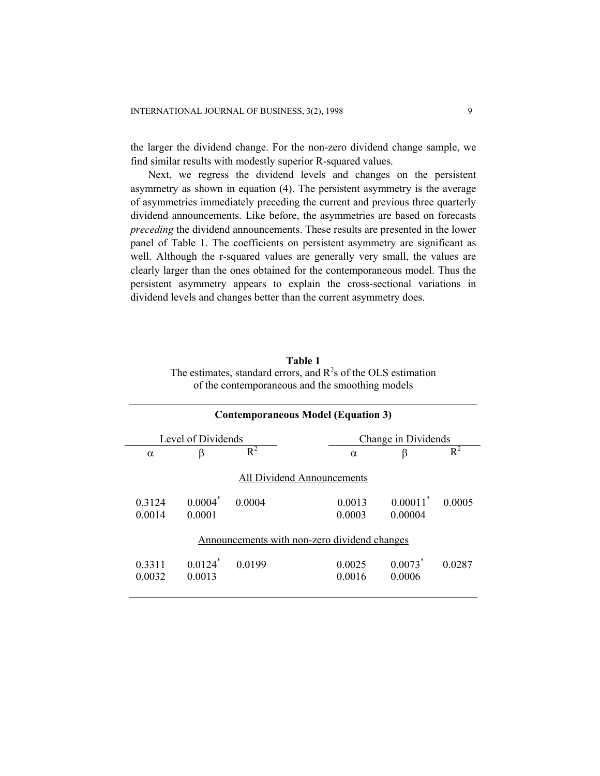the larger the dividend change. For the non-zero dividend change sample, we find similar results with modestly superior R-squared values.

Next, we regress the dividend levels and changes on the persistent asymmetry as shown in equation (4). The persistent asymmetry is the average of asymmetries immediately preceding the current and previous three quarterly dividend announcements. Like before, the asymmetries are based on forecasts *preceding* the dividend announcements. These results are presented in the lower panel of Table 1. The coefficients on persistent asymmetry are significant as well. Although the r-squared values are generally very small, the values are clearly larger than the ones obtained for the contemporaneous model. Thus the persistent asymmetry appears to explain the cross-sectional variations in dividend levels and changes better than the current asymmetry does.

**Table 1** The estimates, standard errors, and  $R^2$ s of the OLS estimation of the contemporaneous and the smoothing models

| <b>Contemporaneous Model (Equation 3)</b> |                                 |           |                                              |                                 |           |  |
|-------------------------------------------|---------------------------------|-----------|----------------------------------------------|---------------------------------|-----------|--|
|                                           | Level of Dividends              |           |                                              | Change in Dividends             |           |  |
| $\alpha$                                  | β                               | $R^2$     | $\alpha$                                     | β                               | $R^2$     |  |
|                                           |                                 |           | <b>All Dividend Announcements</b>            |                                 |           |  |
| 0.3124<br>0.0014                          | $0.0004^*$<br>0.0001            | 0.0004    | 0.0013<br>0.0003                             | $0.00011^*$<br>0.00004          | 0 0 0 0 5 |  |
|                                           |                                 |           | Announcements with non-zero dividend changes |                                 |           |  |
| 0.3311<br>0.0032                          | $0.0124$ <sup>*</sup><br>0.0013 | 0 0 1 9 9 | 0.0025<br>0.0016                             | $0.0073$ <sup>*</sup><br>0.0006 | 0.0287    |  |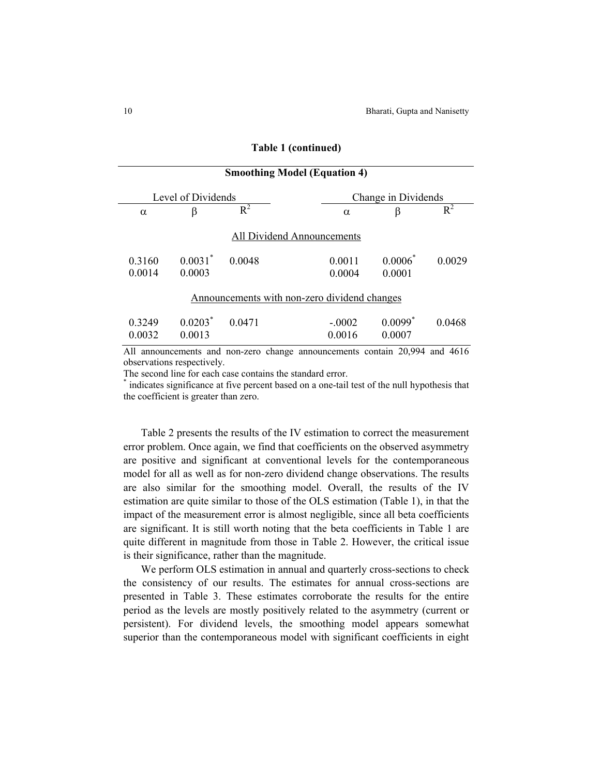10 Bharati, Gupta and Nanisetty

|                  | <b>Smoothing Model (Equation 4)</b> |        |                                              |                                 |           |  |  |  |
|------------------|-------------------------------------|--------|----------------------------------------------|---------------------------------|-----------|--|--|--|
|                  | Level of Dividends                  |        |                                              | Change in Dividends             |           |  |  |  |
| $\alpha$         | β                                   | $R^2$  | $\alpha$                                     | β                               | $R^2$     |  |  |  |
|                  |                                     |        | <b>All Dividend Announcements</b>            |                                 |           |  |  |  |
| 0.3160<br>0.0014 | $0.0031$ <sup>*</sup><br>0.0003     | 0.0048 | 0.0011<br>0.0004                             | $0.0006^*$<br>0.0001            | 0 0 0 2 9 |  |  |  |
|                  |                                     |        | Announcements with non-zero dividend changes |                                 |           |  |  |  |
| 0.3249<br>0.0032 | $0.0203*$<br>0.0013                 | 0.0471 | $-.0002$<br>0.0016                           | $0.0099$ <sup>*</sup><br>0.0007 | 0.0468    |  |  |  |
|                  |                                     |        |                                              |                                 |           |  |  |  |

#### **Table 1 (continued)**

All announcements and non-zero change announcements contain 20,994 and 4616 observations respectively.

The second line for each case contains the standard error.

\* indicates significance at five percent based on a one-tail test of the null hypothesis that the coefficient is greater than zero.

Table 2 presents the results of the IV estimation to correct the measurement error problem. Once again, we find that coefficients on the observed asymmetry are positive and significant at conventional levels for the contemporaneous model for all as well as for non-zero dividend change observations. The results are also similar for the smoothing model. Overall, the results of the IV estimation are quite similar to those of the OLS estimation (Table 1), in that the impact of the measurement error is almost negligible, since all beta coefficients are significant. It is still worth noting that the beta coefficients in Table 1 are quite different in magnitude from those in Table 2. However, the critical issue is their significance, rather than the magnitude.

We perform OLS estimation in annual and quarterly cross-sections to check the consistency of our results. The estimates for annual cross-sections are presented in Table 3. These estimates corroborate the results for the entire period as the levels are mostly positively related to the asymmetry (current or persistent). For dividend levels, the smoothing model appears somewhat superior than the contemporaneous model with significant coefficients in eight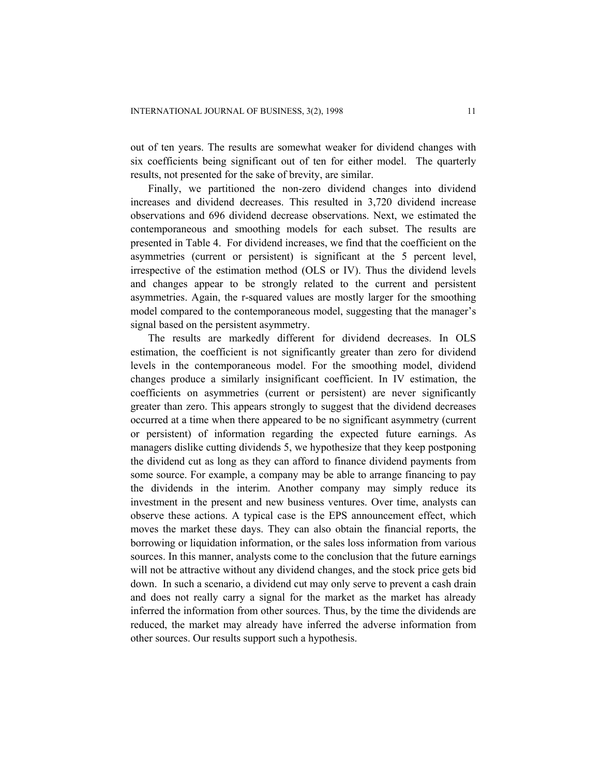out of ten years. The results are somewhat weaker for dividend changes with six coefficients being significant out of ten for either model. The quarterly results, not presented for the sake of brevity, are similar.

Finally, we partitioned the non-zero dividend changes into dividend increases and dividend decreases. This resulted in 3,720 dividend increase observations and 696 dividend decrease observations. Next, we estimated the contemporaneous and smoothing models for each subset. The results are presented in Table 4. For dividend increases, we find that the coefficient on the asymmetries (current or persistent) is significant at the 5 percent level, irrespective of the estimation method (OLS or IV). Thus the dividend levels and changes appear to be strongly related to the current and persistent asymmetries. Again, the r-squared values are mostly larger for the smoothing model compared to the contemporaneous model, suggesting that the manager's signal based on the persistent asymmetry.

The results are markedly different for dividend decreases. In OLS estimation, the coefficient is not significantly greater than zero for dividend levels in the contemporaneous model. For the smoothing model, dividend changes produce a similarly insignificant coefficient. In IV estimation, the coefficients on asymmetries (current or persistent) are never significantly greater than zero. This appears strongly to suggest that the dividend decreases occurred at a time when there appeared to be no significant asymmetry (current or persistent) of information regarding the expected future earnings. As managers dislike cutting dividends 5, we hypothesize that they keep postponing the dividend cut as long as they can afford to finance dividend payments from some source. For example, a company may be able to arrange financing to pay the dividends in the interim. Another company may simply reduce its investment in the present and new business ventures. Over time, analysts can observe these actions. A typical case is the EPS announcement effect, which moves the market these days. They can also obtain the financial reports, the borrowing or liquidation information, or the sales loss information from various sources. In this manner, analysts come to the conclusion that the future earnings will not be attractive without any dividend changes, and the stock price gets bid down. In such a scenario, a dividend cut may only serve to prevent a cash drain and does not really carry a signal for the market as the market has already inferred the information from other sources. Thus, by the time the dividends are reduced, the market may already have inferred the adverse information from other sources. Our results support such a hypothesis.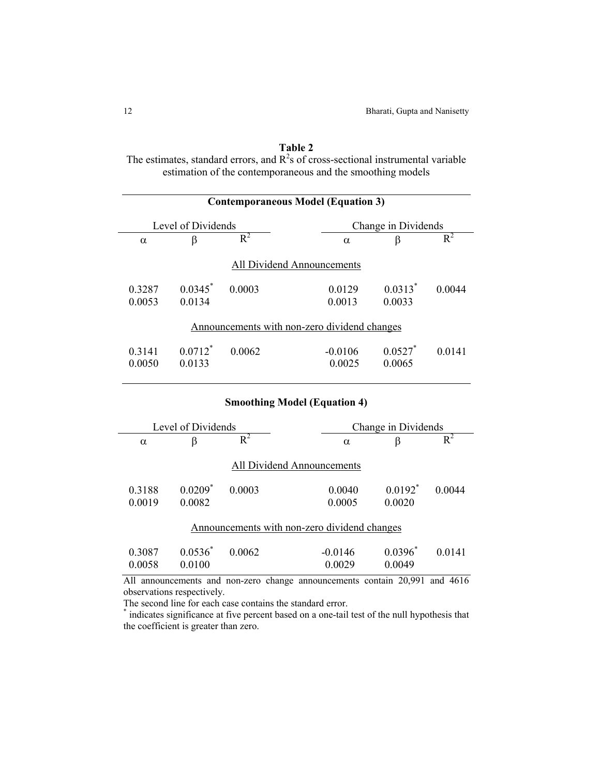# **Table 2**

The estimates, standard errors, and  $R^2$ s of cross-sectional instrumental variable estimation of the contemporaneous and the smoothing models

| <b>Contemporaneous Model (Equation 3)</b> |                                                                                  |        |                                                                     |                      |        |  |  |  |
|-------------------------------------------|----------------------------------------------------------------------------------|--------|---------------------------------------------------------------------|----------------------|--------|--|--|--|
|                                           | Level of Dividends                                                               |        |                                                                     | Change in Dividends  |        |  |  |  |
| $\alpha$                                  | β                                                                                | $R^2$  | $\alpha$                                                            | $\beta$              | $R^2$  |  |  |  |
|                                           |                                                                                  |        | <b>All Dividend Announcements</b>                                   |                      |        |  |  |  |
| 0.3287                                    | $0.0345^*$                                                                       | 0.0003 | 0.0129                                                              | $0.0313*$            | 0.0044 |  |  |  |
| 0.0053                                    | 0.0134                                                                           |        | 0.0013                                                              | 0.0033               |        |  |  |  |
| 0.3141<br>0.0050                          | $0.0712^*$<br>0.0133                                                             | 0.0062 | Announcements with non-zero dividend changes<br>$-0.0106$<br>0.0025 | $0.0527$ *<br>0.0065 | 0.0141 |  |  |  |
|                                           | <b>Smoothing Model (Equation 4)</b><br>Level of Dividends<br>Change in Dividends |        |                                                                     |                      |        |  |  |  |
| $\alpha$                                  | β                                                                                | $R^2$  | $\alpha$                                                            | $\beta$              | $R^2$  |  |  |  |
|                                           |                                                                                  |        | All Dividend Announcements                                          |                      |        |  |  |  |
| 0.3188<br>0.0019                          | $0.0209$ <sup>*</sup><br>0.0082                                                  | 0.0003 | 0.0040<br>0.0005                                                    | $0.0192^*$<br>0.0020 | 0.0044 |  |  |  |
|                                           |                                                                                  |        |                                                                     |                      |        |  |  |  |

# Announcements with non-zero dividend changes

|        | $0.3087$ $0.0536^*$ $0.0062$ | $-0.0146$ | $0.0396^*$ 0.0141 |  |
|--------|------------------------------|-----------|-------------------|--|
| 0.0058 | 0.0100                       | 0.0029    | 0.0049            |  |

All announcements and non-zero change announcements contain 20,991 and 4616 observations respectively.

The second line for each case contains the standard error.

\* indicates significance at five percent based on a one-tail test of the null hypothesis that the coefficient is greater than zero.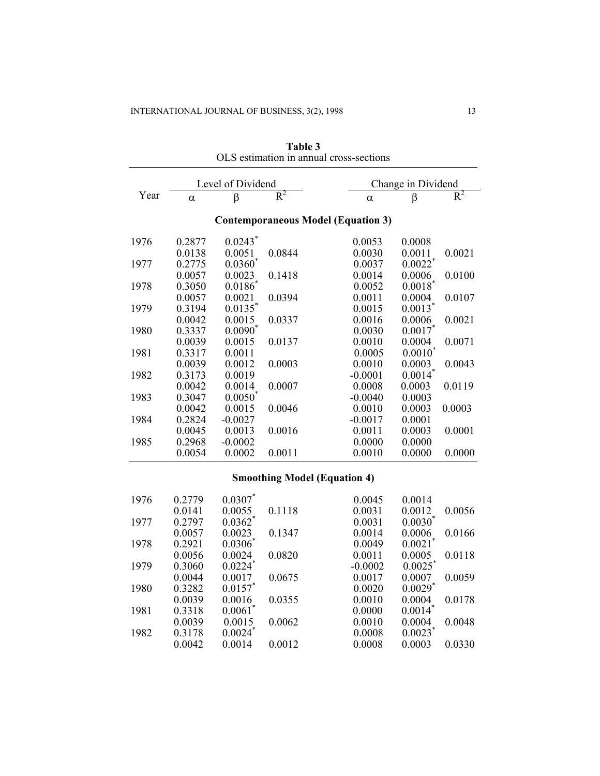|      | Level of Dividend |                       |        |                                           | Change in Dividend    |        |  |
|------|-------------------|-----------------------|--------|-------------------------------------------|-----------------------|--------|--|
| Year | $\alpha$          | β                     | $R^2$  | $\alpha$                                  | β                     | $R^2$  |  |
|      |                   |                       |        | <b>Contemporaneous Model (Equation 3)</b> |                       |        |  |
| 1976 | 0.2877            | $0.0243$ <sup>*</sup> |        | 0.0053                                    | 0.0008                |        |  |
|      | 0.0138            | 0.0051                | 0.0844 | 0.0030                                    | 0.0011                | 0.0021 |  |
| 1977 | 0.2775            | $0.0360*$             |        | 0.0037                                    | $0.0022$ <sup>*</sup> |        |  |
|      | 0.0057            | 0.0023                | 0.1418 | 0.0014                                    | 0.0006                | 0.0100 |  |
| 1978 | 0.3050            | $0.0186^\ast$         |        | 0.0052                                    | $0.0018^\ast$         |        |  |
|      | 0.0057            | 0.0021                | 0.0394 | 0.0011                                    | 0.0004                | 0.0107 |  |
| 1979 | 0.3194            | $0.0135$ <sup>*</sup> |        | 0.0015                                    | $0.0013$ <sup>*</sup> |        |  |
|      | 0.0042            | 0.0015                | 0.0337 | 0.0016                                    | 0.0006                | 0.0021 |  |
| 1980 | 0.3337            | $0.0090^\ast$         |        | 0.0030                                    | $0.0017$ *            |        |  |
|      | 0.0039            | 0.0015                | 0.0137 | 0.0010                                    | 0.0004                | 0.0071 |  |
| 1981 | 0.3317            | 0.0011                |        | 0.0005                                    | 0.0010                |        |  |
|      | 0.0039            | 0.0012                | 0.0003 | 0.0010                                    | 0.0003                | 0.0043 |  |
| 1982 | 0.3173            | 0.0019                |        | $-0.0001$                                 | $0.0014$ <sup>*</sup> |        |  |
|      | 0.0042            | 0.0014                | 0.0007 | 0.0008                                    | 0.0003                | 0.0119 |  |
| 1983 | 0.3047            | $0.0050^{\circ}$      |        | $-0.0040$                                 | 0.0003                |        |  |
|      | 0.0042            | 0.0015                | 0.0046 | 0.0010                                    | 0.0003                | 0.0003 |  |
| 1984 | 0.2824            | $-0.0027$             |        | $-0.0017$                                 | 0.0001                |        |  |
|      | 0.0045            | 0.0013                | 0.0016 | 0.0011                                    | 0.0003                | 0.0001 |  |
| 1985 | 0.2968            | $-0.0002$             |        | 0.0000                                    | 0.0000                |        |  |
|      | 0.0054            | 0.0002                | 0.0011 | 0.0010                                    | 0.0000                | 0.0000 |  |

**Table 3**  OLS estimation in annual cross-sections

# **Smoothing Model (Equation 4)**

| 1976 | 0.2779 | $0.0307$ *            |        | 0.0045    | 0.0014                |        |
|------|--------|-----------------------|--------|-----------|-----------------------|--------|
|      | 0.0141 | 0.0055                | 0.1118 | 0.0031    | 0.0012                | 0.0056 |
| 1977 | 0.2797 | $0.0362$ <sup>*</sup> |        | 0.0031    | 0.0030                |        |
|      | 0.0057 | 0.0023                | 0.1347 | 0.0014    | 0.0006                | 0.0166 |
| 1978 | 0.2921 | $0.0306^*$            |        | 0.0049    | 0.0021                |        |
|      | 0.0056 | 0.0024                | 0.0820 | 0.0011    | 0.0005                | 0.0118 |
| 1979 | 0.3060 | $0.0224$ <sup>*</sup> |        | $-0.0002$ | $0.0025$ <sup>*</sup> |        |
|      | 0.0044 | 0.0017                | 0.0675 | 0.0017    | 0.0007                | 0.0059 |
| 1980 | 0.3282 | $0.0157$ *            |        | 0.0020    | $0.0029$ <sup>*</sup> |        |
|      | 0.0039 | 0.0016                | 0.0355 | 0.0010    | 0.0004                | 0.0178 |
| 1981 | 0.3318 | $0.0061$ <sup>*</sup> |        | 0.0000    | $0.0014$ <sup>*</sup> |        |
|      | 0.0039 | 0.0015                | 0.0062 | 0.0010    | 0.0004                | 0.0048 |
| 1982 | 0.3178 | $0.0024$ *            |        | 0.0008    | 0.0023                |        |
|      | 0.0042 | 0.0014                | 0.0012 | 0.0008    | 0.0003                | 0.0330 |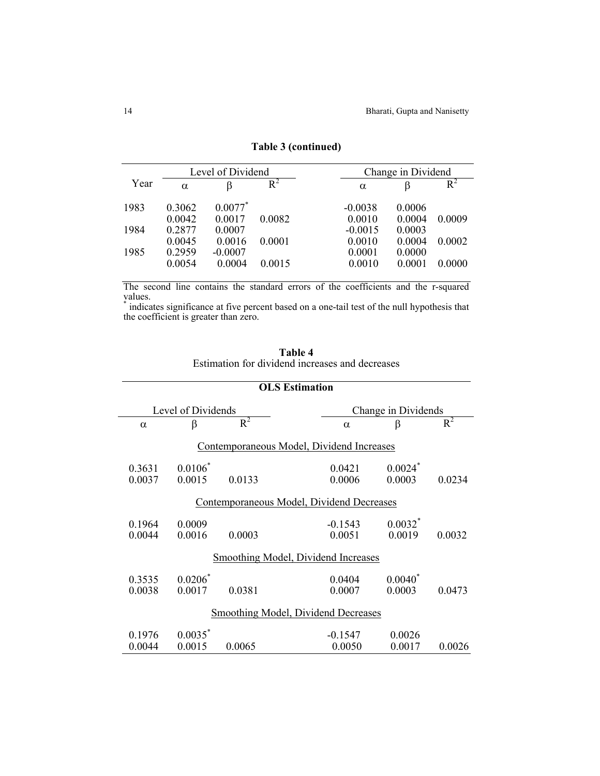| Level of Dividend |          |            | Change in Dividend |           |        |        |
|-------------------|----------|------------|--------------------|-----------|--------|--------|
| Year              | $\alpha$ |            | $R^2$              | $\alpha$  |        | $R^2$  |
| 1983              | 0.3062   | $0.0077$ * |                    | $-0.0038$ | 0.0006 |        |
|                   | 0.0042   | 0.0017     | 0.0082             | 0.0010    | 0.0004 | 0.0009 |
| 1984              | 0.2877   | 0.0007     |                    | $-0.0015$ | 0.0003 |        |
|                   | 0.0045   | 0.0016     | 0.0001             | 0.0010    | 0.0004 | 0.0002 |
| 1985              | 0.2959   | $-0.0007$  |                    | 0.0001    | 0.0000 |        |
|                   | 0.0054   | 0.0004     | 0.0015             | 0.0010    | 0.0001 | 0.0000 |

# **Table 3 (continued)**

The second line contains the standard errors of the coefficients and the r-squared values.

\* indicates significance at five percent based on a one-tail test of the null hypothesis that the coefficient is greater than zero.

| Table 4                                         |  |  |  |  |
|-------------------------------------------------|--|--|--|--|
| Estimation for dividend increases and decreases |  |  |  |  |

| <b>OLS Estimation</b>                      |                                           |        |                                     |                                 |        |  |  |
|--------------------------------------------|-------------------------------------------|--------|-------------------------------------|---------------------------------|--------|--|--|
|                                            | Level of Dividends<br>Change in Dividends |        |                                     |                                 |        |  |  |
| $\alpha$                                   | β                                         | $R^2$  | $\alpha$                            | $\beta$                         | $R^2$  |  |  |
|                                            | Contemporaneous Model, Dividend Increases |        |                                     |                                 |        |  |  |
| 0.3631<br>0.0037                           | $0.0106^*$<br>0.0015                      | 0.0133 | 0.0421<br>0.0006                    | $0.0024$ <sup>*</sup><br>0.0003 | 0.0234 |  |  |
|                                            | Contemporaneous Model, Dividend Decreases |        |                                     |                                 |        |  |  |
| 0.1964<br>0.0044                           | 0.0009<br>0.0016                          | 0.0003 | $-0.1543$<br>0.0051                 | $0.0032$ *<br>0.0019            | 0.0032 |  |  |
|                                            |                                           |        | Smoothing Model, Dividend Increases |                                 |        |  |  |
| 0.3535<br>0.0038                           | $0.0206^*$<br>0.0017                      | 0.0381 | 0.0404<br>0.0007                    | $0.0040^*$<br>0.0003            | 0.0473 |  |  |
| <b>Smoothing Model, Dividend Decreases</b> |                                           |        |                                     |                                 |        |  |  |
| 0.1976<br>0.0044                           | $0.0035$ <sup>*</sup><br>0.0015           | 0.0065 | $-0.1547$<br>0.0050                 | 0.0026<br>0.0017                | 0.0026 |  |  |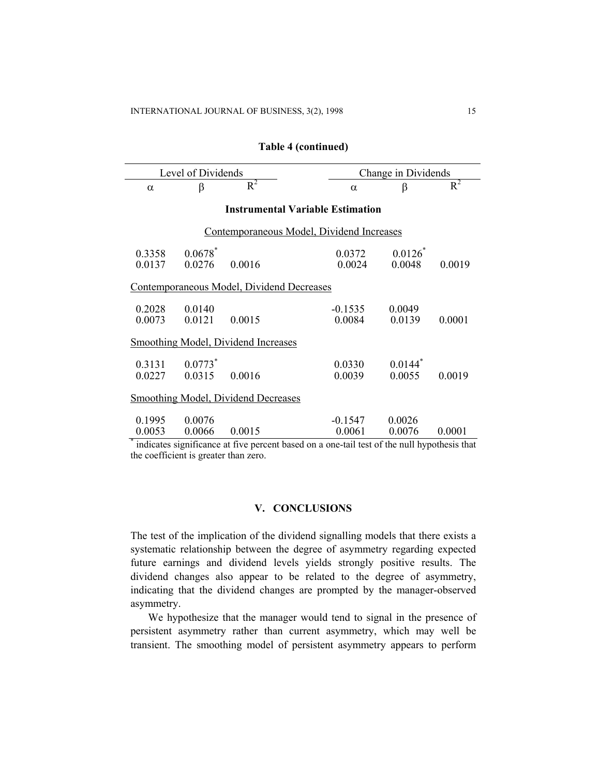| <b>Table 4 (continued)</b> |  |
|----------------------------|--|
|----------------------------|--|

| Level of Dividends                         |                                 |                                                                                                       | Change in Dividends |                                 |        |  |  |
|--------------------------------------------|---------------------------------|-------------------------------------------------------------------------------------------------------|---------------------|---------------------------------|--------|--|--|
| $\alpha$                                   | $\beta$                         | $R^2$                                                                                                 | $\alpha$            | $\beta$                         | $R^2$  |  |  |
|                                            |                                 | <b>Instrumental Variable Estimation</b>                                                               |                     |                                 |        |  |  |
| Contemporaneous Model, Dividend Increases  |                                 |                                                                                                       |                     |                                 |        |  |  |
| 0.3358<br>0.0137                           | $0.0678$ <sup>*</sup><br>0.0276 | 0.0016                                                                                                | 0.0372<br>0.0024    | $0.0126*$<br>0.0048             | 0.0019 |  |  |
|                                            |                                 | Contemporaneous Model, Dividend Decreases                                                             |                     |                                 |        |  |  |
| 0.2028<br>0.0073                           | 0.0140<br>0.0121                | 0.0015                                                                                                | $-0.1535$<br>0.0084 | 0.0049<br>0.0139                | 0.0001 |  |  |
|                                            |                                 | <b>Smoothing Model, Dividend Increases</b>                                                            |                     |                                 |        |  |  |
| $0.3131$ $0.0773$ <sup>*</sup><br>0.0227   | 0.0315                          | 0.0016                                                                                                | 0.0330<br>0.0039    | $0.0144$ <sup>*</sup><br>0.0055 | 0.0019 |  |  |
| <b>Smoothing Model, Dividend Decreases</b> |                                 |                                                                                                       |                     |                                 |        |  |  |
| 0.1995<br>0.0053                           | 0.0076<br>0.0066                | 0.0015<br>indicates significance at five percent based on a one-tail test of the null hypothesis that | $-0.1547$<br>0.0061 | 0.0026<br>0.0076                | 0.0001 |  |  |

the coefficient is greater than zero.

# **V. CONCLUSIONS**

The test of the implication of the dividend signalling models that there exists a systematic relationship between the degree of asymmetry regarding expected future earnings and dividend levels yields strongly positive results. The dividend changes also appear to be related to the degree of asymmetry, indicating that the dividend changes are prompted by the manager-observed asymmetry.

We hypothesize that the manager would tend to signal in the presence of persistent asymmetry rather than current asymmetry, which may well be transient. The smoothing model of persistent asymmetry appears to perform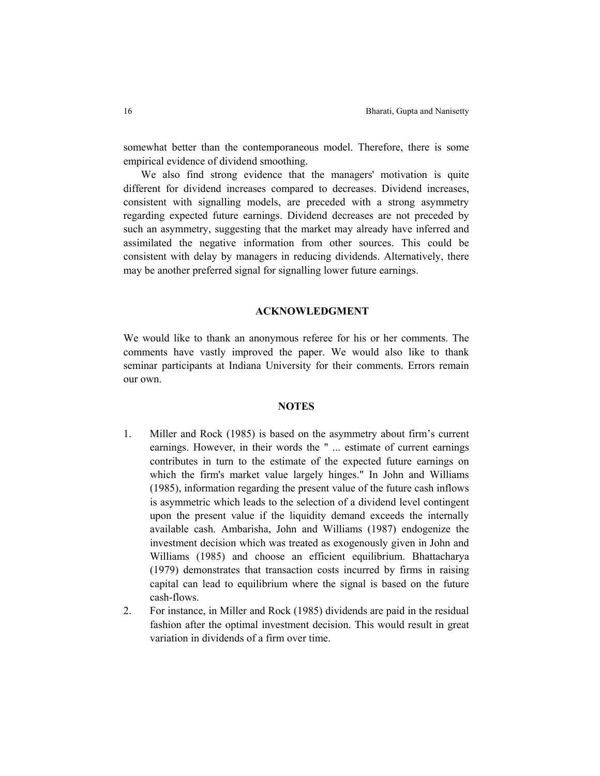somewhat better than the contemporaneous model. Therefore, there is some empirical evidence of dividend smoothing.

We also find strong evidence that the managers' motivation is quite different for dividend increases compared to decreases. Dividend increases, consistent with signalling models, are preceded with a strong asymmetry regarding expected future earnings. Dividend decreases are not preceded by such an asymmetry, suggesting that the market may already have inferred and assimilated the negative information from other sources. This could be consistent with delay by managers in reducing dividends. Alternatively, there may be another preferred signal for signalling lower future earnings.

## **ACKNOWLEDGMENT**

We would like to thank an anonymous referee for his or her comments. The comments have vastly improved the paper. We would also like to thank seminar participants at Indiana University for their comments. Errors remain our own.

# **NOTES**

- 1. Miller and Rock (1985) is based on the asymmetry about firm's current earnings. However, in their words the " ... estimate of current earnings contributes in turn to the estimate of the expected future earnings on which the firm's market value largely hinges." In John and Williams (1985), information regarding the present value of the future cash inflows is asymmetric which leads to the selection of a dividend level contingent upon the present value if the liquidity demand exceeds the internally available cash. Ambarisha, John and Williams (1987) endogenize the investment decision which was treated as exogenously given in John and Williams (1985) and choose an efficient equilibrium. Bhattacharya (1979) demonstrates that transaction costs incurred by firms in raising capital can lead to equilibrium where the signal is based on the future cash-flows.
- 2. For instance, in Miller and Rock (1985) dividends are paid in the residual fashion after the optimal investment decision. This would result in great variation in dividends of a firm over time.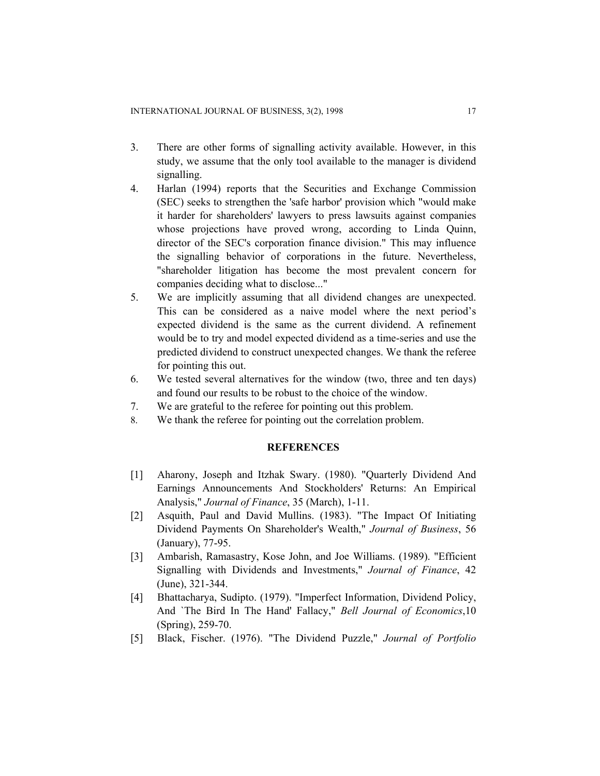- 3. There are other forms of signalling activity available. However, in this study, we assume that the only tool available to the manager is dividend signalling.
- 4. Harlan (1994) reports that the Securities and Exchange Commission (SEC) seeks to strengthen the 'safe harbor' provision which "would make it harder for shareholders' lawyers to press lawsuits against companies whose projections have proved wrong, according to Linda Quinn, director of the SEC's corporation finance division." This may influence the signalling behavior of corporations in the future. Nevertheless, "shareholder litigation has become the most prevalent concern for companies deciding what to disclose..."
- 5. We are implicitly assuming that all dividend changes are unexpected. This can be considered as a naive model where the next period's expected dividend is the same as the current dividend. A refinement would be to try and model expected dividend as a time-series and use the predicted dividend to construct unexpected changes. We thank the referee for pointing this out.
- 6. We tested several alternatives for the window (two, three and ten days) and found our results to be robust to the choice of the window.
- 7. We are grateful to the referee for pointing out this problem.
- 8. We thank the referee for pointing out the correlation problem.

# **REFERENCES**

- [1] Aharony, Joseph and Itzhak Swary. (1980). "Quarterly Dividend And Earnings Announcements And Stockholders' Returns: An Empirical Analysis," *Journal of Finance*, 35 (March), 1-11.
- [2] Asquith, Paul and David Mullins. (1983). "The Impact Of Initiating Dividend Payments On Shareholder's Wealth," *Journal of Business*, 56 (January), 77-95.
- [3] Ambarish, Ramasastry, Kose John, and Joe Williams. (1989). "Efficient Signalling with Dividends and Investments," *Journal of Finance*, 42 (June), 321-344.
- [4] Bhattacharya, Sudipto. (1979). "Imperfect Information, Dividend Policy, And `The Bird In The Hand' Fallacy," *Bell Journal of Economics*,10 (Spring), 259-70.
- [5] Black, Fischer. (1976). "The Dividend Puzzle," *Journal of Portfolio*